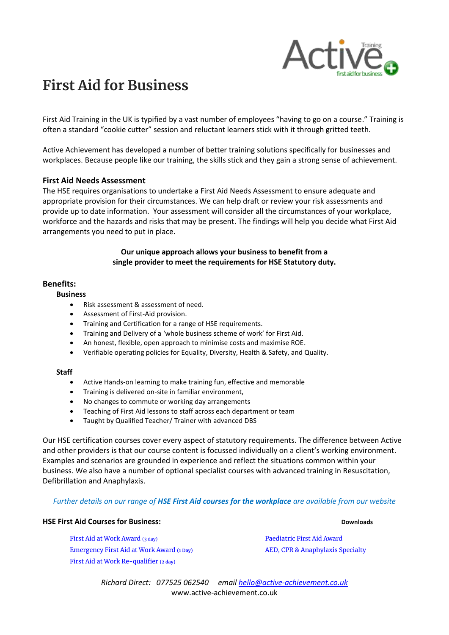

# **First Aid for Business**

First Aid Training in the UK is typified by a vast number of employees "having to go on a course." Training is often a standard "cookie cutter" session and reluctant learners stick with it through gritted teeth.

Active Achievement has developed a number of better training solutions specifically for businesses and workplaces. Because people like our training, the skills stick and they gain a strong sense of achievement.

#### **First Aid Needs Assessment**

The HSE requires organisations to undertake a First Aid Needs Assessment to ensure adequate and appropriate provision for their circumstances. We can help draft or review your risk assessments and provide up to date information. Your assessment will consider all the circumstances of your workplace, workforce and the hazards and risks that may be present. The findings will help you decide what First Aid arrangements you need to put in place.

#### **Our unique approach allows your business to benefit from a single provider to meet the requirements for HSE Statutory duty.**

#### **Benefits:**

#### **Business**

- Risk assessment & assessment of need.
- Assessment of First-Aid provision.
- Training and Certification for a range of HSE requirements.
- Training and Delivery of a 'whole business scheme of work' for First Aid.
- An honest, flexible, open approach to minimise costs and maximise ROE.
- Verifiable operating policies for Equality, Diversity, Health & Safety, and Quality.

#### **Staff**

- Active Hands-on learning to make training fun, effective and memorable
- Training is delivered on-site in familiar environment,
- No changes to commute or working day arrangements
- Teaching of First Aid lessons to staff across each department or team
- Taught by Qualified Teacher/ Trainer with advanced DBS

Our HSE certification courses cover every aspect of statutory requirements. The difference between Active and other providers is that our course content is focussed individually on a client's working environment. Examples and scenarios are grounded in experience and reflect the situations common within your business. We also have a number of optional specialist courses with advanced training in Resuscitation, Defibrillation and Anaphylaxis.

#### *Further details on our range of HSE First Aid courses for the workplace are available from our website*

#### **HSE First Aid Courses for Business: Downloads Downloads**

[First Aid at Work](https://www.active-achievement.co.uk/wp-content/uploads/2020/07/HSE_First-Aid-at-Work_3day.pdf) Award (3 day) [Emergency First Aid at Work Award](https://www.active-achievement.co.uk/wp-content/uploads/2020/07/HSE_Emergency-First-Aid-at-Work_1day.pdf) **(1 Day)** [First Aid at Work Re-qualifier](https://www.active-achievement.co.uk/wp-content/uploads/2020/07/HSE_Annual_Refresher.pdf) **(2 day)**

[Paediatric First Aid Award](https://www.active-achievement.co.uk/wp-content/uploads/2020/07/HSE_Paediatric-First-Aid-Awards.pdf) [AED, CPR & Anaphylaxis Specialty](https://www.active-achievement.co.uk/wp-content/uploads/2020/07/FirstAid_aed_cpr_anaph.pdf)

*Richard Direct: 077525 062540 emai[l hello@active-achievement.co.uk](mailto:hello@active-achievement.co.uk)* www.active-achievement.co.uk